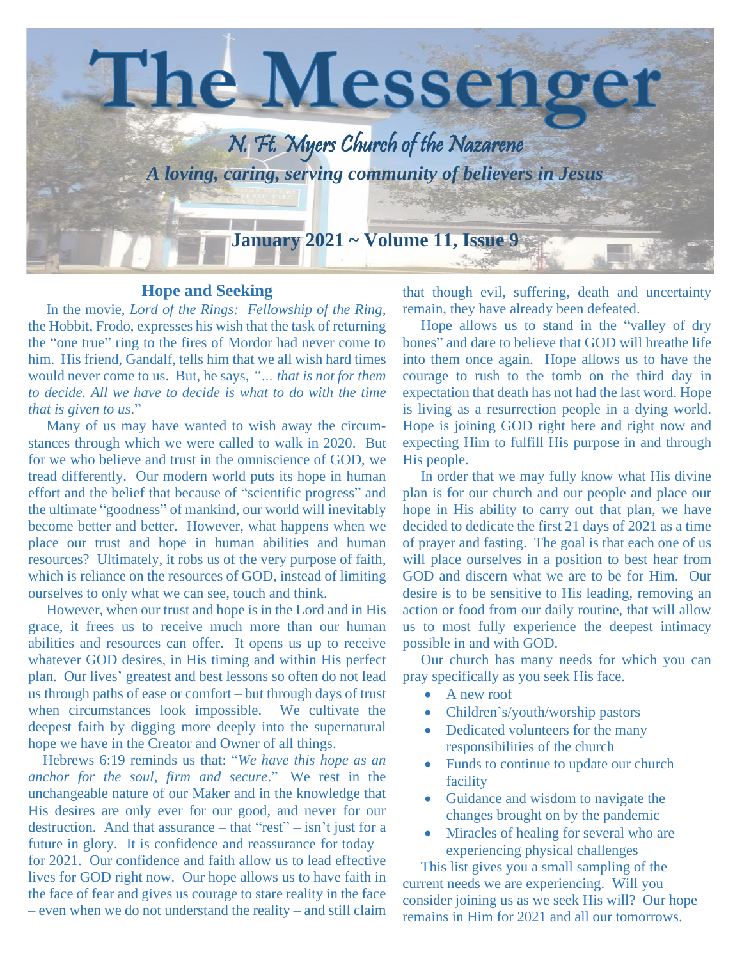

#### **Hope and Seeking**

 In the movie, *Lord of the Rings: Fellowship of the Ring*, the Hobbit, Frodo, expresses his wish that the task of returning the "one true" ring to the fires of Mordor had never come to him. His friend, Gandalf, tells him that we all wish hard times would never come to us. But, he says, *"… that is not for them to decide. All we have to decide is what to do with the time that is given to us*."

 Many of us may have wanted to wish away the circumstances through which we were called to walk in 2020. But for we who believe and trust in the omniscience of GOD, we tread differently. Our modern world puts its hope in human effort and the belief that because of "scientific progress" and the ultimate "goodness" of mankind, our world will inevitably become better and better. However, what happens when we place our trust and hope in human abilities and human resources? Ultimately, it robs us of the very purpose of faith, which is reliance on the resources of GOD, instead of limiting ourselves to only what we can see, touch and think.

 However, when our trust and hope is in the Lord and in His grace, it frees us to receive much more than our human abilities and resources can offer. It opens us up to receive whatever GOD desires, in His timing and within His perfect plan. Our lives' greatest and best lessons so often do not lead us through paths of ease or comfort – but through days of trust when circumstances look impossible. We cultivate the deepest faith by digging more deeply into the supernatural hope we have in the Creator and Owner of all things.

 Hebrews 6:19 reminds us that: "*We have this hope as an anchor for the soul, firm and secure*." We rest in the unchangeable nature of our Maker and in the knowledge that His desires are only ever for our good, and never for our destruction. And that assurance – that "rest" – isn't just for a future in glory. It is confidence and reassurance for today – for 2021. Our confidence and faith allow us to lead effective lives for GOD right now. Our hope allows us to have faith in the face of fear and gives us courage to stare reality in the face – even when we do not understand the reality – and still claim that though evil, suffering, death and uncertainty remain, they have already been defeated.

 Hope allows us to stand in the "valley of dry bones" and dare to believe that GOD will breathe life into them once again. Hope allows us to have the courage to rush to the tomb on the third day in expectation that death has not had the last word. Hope is living as a resurrection people in a dying world. Hope is joining GOD right here and right now and expecting Him to fulfill His purpose in and through His people.

 In order that we may fully know what His divine plan is for our church and our people and place our hope in His ability to carry out that plan, we have decided to dedicate the first 21 days of 2021 as a time of prayer and fasting. The goal is that each one of us will place ourselves in a position to best hear from GOD and discern what we are to be for Him. Our desire is to be sensitive to His leading, removing an action or food from our daily routine, that will allow us to most fully experience the deepest intimacy possible in and with GOD.

 Our church has many needs for which you can pray specifically as you seek His face.

- A new roof
- Children's/youth/worship pastors
- Dedicated volunteers for the many responsibilities of the church
- Funds to continue to update our church facility
- Guidance and wisdom to navigate the changes brought on by the pandemic
- Miracles of healing for several who are experiencing physical challenges

 This list gives you a small sampling of the current needs we are experiencing. Will you consider joining us as we seek His will? Our hope remains in Him for 2021 and all our tomorrows.